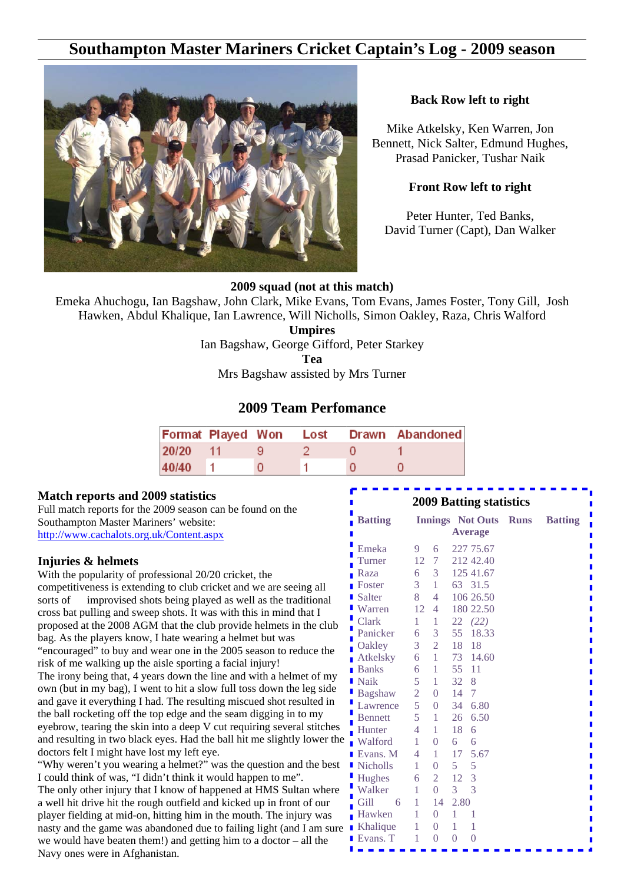# **Southampton Master Mariners Cricket Captain's Log - 2009 season**



#### **Back Row left to right**

Mike Atkelsky, Ken Warren, Jon Bennett, Nick Salter, Edmund Hughes, Prasad Panicker, Tushar Naik

#### **Front Row left to right**

Peter Hunter, Ted Banks, David Turner (Capt), Dan Walker

#### **2009 squad (not at this match)**

Emeka Ahuchogu, Ian Bagshaw, John Clark, Mike Evans, Tom Evans, James Foster, Tony Gill, Josh Hawken, Abdul Khalique, Ian Lawrence, Will Nicholls, Simon Oakley, Raza, Chris Walford

**Umpires**

Ian Bagshaw, George Gifford, Peter Starkey

**Tea**

Mrs Bagshaw assisted by Mrs Turner

# **2009 Team Perfomance**

| Format Played Won Lost |  |  | Drawn Abandoned |
|------------------------|--|--|-----------------|
| 20/20 11               |  |  |                 |
| 40/40                  |  |  |                 |

#### **Match reports and 2009 statistics**

Full match reports for the 2009 season can be found on the Southampton Master Mariners' website: http://www.cachalots.org.uk/Content.aspx

#### **Injuries & helmets**

With the popularity of professional 20/20 cricket, the competitiveness is extending to club cricket and we are seeing all sorts of improvised shots being played as well as the traditional cross bat pulling and sweep shots. It was with this in mind that I proposed at the 2008 AGM that the club provide helmets in the club bag. As the players know, I hate wearing a helmet but was "encouraged" to buy and wear one in the 2005 season to reduce the risk of me walking up the aisle sporting a facial injury!

The irony being that, 4 years down the line and with a helmet of my own (but in my bag), I went to hit a slow full toss down the leg side and gave it everything I had. The resulting miscued shot resulted in the ball rocketing off the top edge and the seam digging in to my eyebrow, tearing the skin into a deep V cut requiring several stitches and resulting in two black eyes. Had the ball hit me slightly lower the doctors felt I might have lost my left eye.

"Why weren't you wearing a helmet?" was the question and the best I could think of was, "I didn't think it would happen to me". The only other injury that I know of happened at HMS Sultan where a well hit drive hit the rough outfield and kicked up in front of our player fielding at mid-on, hitting him in the mouth. The injury was nasty and the game was abandoned due to failing light (and I am sure we would have beaten them!) and getting him to a doctor – all the Navy ones were in Afghanistan.

| <b>2009 Batting statistics</b><br>П |                |                |          |                         |             |                |  |  |  |  |
|-------------------------------------|----------------|----------------|----------|-------------------------|-------------|----------------|--|--|--|--|
| <b>Batting</b>                      |                |                |          | <b>Innings</b> Not Outs | <b>Runs</b> | <b>Batting</b> |  |  |  |  |
|                                     |                |                |          | <b>Average</b>          |             |                |  |  |  |  |
| Emeka                               | 9              | 6              |          | 227 75.67               |             |                |  |  |  |  |
| Turner                              | 12             | 7              |          | 212 42.40               |             |                |  |  |  |  |
| Raza                                | 6              | 3              |          | 125 41.67               |             |                |  |  |  |  |
| Foster                              | 3              | 1              | 63       | 31.5                    |             |                |  |  |  |  |
| Salter                              | 8              | 4              |          | 106 26.50               |             |                |  |  |  |  |
| Warren                              | 12             | 4              |          | 180 22.50               |             |                |  |  |  |  |
| Clark                               | 1              | 1              | 22       | (22)                    |             |                |  |  |  |  |
| Panicker                            | 6              | 3              | 55       | 18.33                   |             |                |  |  |  |  |
| Oakley                              | 3              | $\overline{2}$ | 18       | 18                      |             |                |  |  |  |  |
| Atkelsky                            | 6              | $\mathbf{1}$   |          | 73 14.60                |             |                |  |  |  |  |
| <b>Banks</b>                        | 6              | 1              | 55       | 11                      |             |                |  |  |  |  |
| l Naik                              | 5              | 1              | 32       | 8                       |             |                |  |  |  |  |
| <b>Bagshaw</b>                      | $\overline{2}$ | $\overline{0}$ | 14       | 7                       |             |                |  |  |  |  |
| Lawrence                            | 5              | $\overline{0}$ | 34       | 6.80                    |             |                |  |  |  |  |
| <b>Bennett</b>                      | 5              | 1              | 26       | 6.50                    |             |                |  |  |  |  |
| Hunter                              | 4              | 1              | 18       | 6                       |             |                |  |  |  |  |
| Walford                             | 1              | $\overline{0}$ | 6        | 6                       |             |                |  |  |  |  |
| Evans. M                            | 4              | 1              | 17       | 5.67                    |             |                |  |  |  |  |
| lacktriangleright Nicholls          | 1              | $\overline{0}$ | 5        | 5                       |             |                |  |  |  |  |
| <b>Hughes</b>                       | 6              | 2              | 12       | 3                       |             |                |  |  |  |  |
| Walker                              | 1              | $\overline{0}$ | 3        | 3                       |             |                |  |  |  |  |
| Gill<br>6                           | 1              | 14             | 2.80     |                         |             |                |  |  |  |  |
| Hawken                              | 1              | $\theta$       | 1        | 1                       |             |                |  |  |  |  |
| Khalique                            | 1              | $\overline{0}$ | 1        | 1                       |             |                |  |  |  |  |
| Evans. T                            | 1              | O              | $\Omega$ | $\Omega$                |             |                |  |  |  |  |